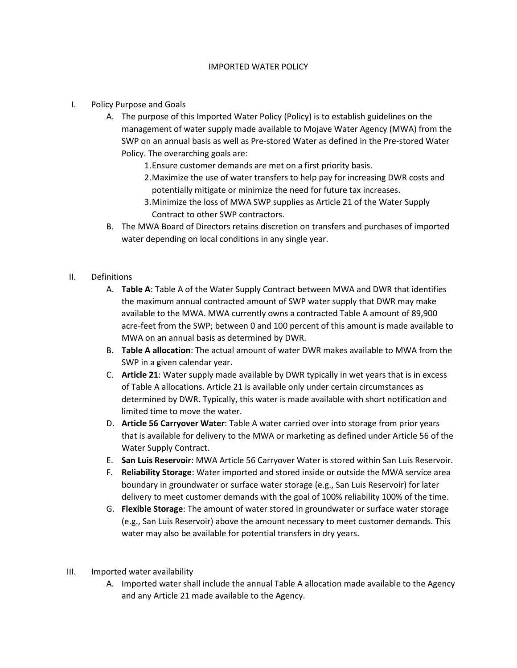## IMPORTED WATER POLICY

- I. Policy Purpose and Goals
	- A. The purpose of this Imported Water Policy (Policy) is to establish guidelines on the management of water supply made available to Mojave Water Agency (MWA) from the SWP on an annual basis as well as Pre-stored Water as defined in the Pre-stored Water Policy. The overarching goals are:
		- 1.Ensure customer demands are met on a first priority basis.
		- 2.Maximize the use of water transfers to help pay for increasing DWR costs and potentially mitigate or minimize the need for future tax increases.
		- 3.Minimize the loss of MWA SWP supplies as Article 21 of the Water Supply Contract to other SWP contractors.
	- B. The MWA Board of Directors retains discretion on transfers and purchases of imported water depending on local conditions in any single year.
- II. Definitions
	- A. **Table A**: Table A of the Water Supply Contract between MWA and DWR that identifies the maximum annual contracted amount of SWP water supply that DWR may make available to the MWA. MWA currently owns a contracted Table A amount of 89,900 acre-feet from the SWP; between 0 and 100 percent of this amount is made available to MWA on an annual basis as determined by DWR.
	- B. **Table A allocation**: The actual amount of water DWR makes available to MWA from the SWP in a given calendar year.
	- C. **Article 21**: Water supply made available by DWR typically in wet years that is in excess of Table A allocations. Article 21 is available only under certain circumstances as determined by DWR. Typically, this water is made available with short notification and limited time to move the water.
	- D. **Article 56 Carryover Water**: Table A water carried over into storage from prior years that is available for delivery to the MWA or marketing as defined under Article 56 of the Water Supply Contract.
	- E. **San Luis Reservoir**: MWA Article 56 Carryover Water is stored within San Luis Reservoir.
	- F. **Reliability Storage**: Water imported and stored inside or outside the MWA service area boundary in groundwater or surface water storage (e.g., San Luis Reservoir) for later delivery to meet customer demands with the goal of 100% reliability 100% of the time.
	- G. **Flexible Storage**: The amount of water stored in groundwater or surface water storage (e.g., San Luis Reservoir) above the amount necessary to meet customer demands. This water may also be available for potential transfers in dry years.
- III. Imported water availability
	- A. Imported water shall include the annual Table A allocation made available to the Agency and any Article 21 made available to the Agency.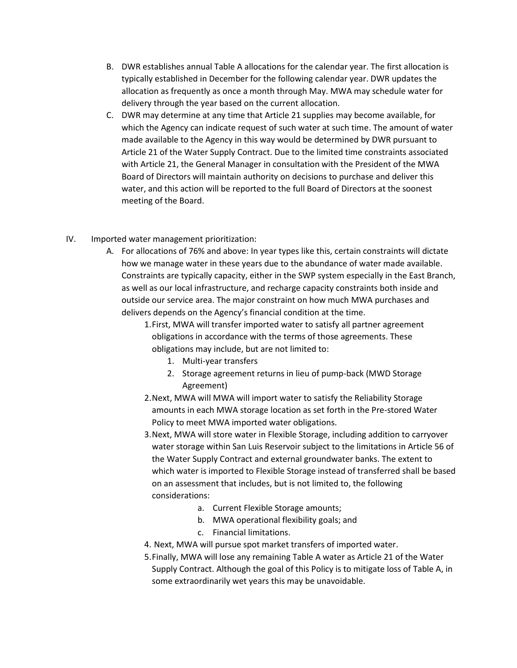- B. DWR establishes annual Table A allocations for the calendar year. The first allocation is typically established in December for the following calendar year. DWR updates the allocation as frequently as once a month through May. MWA may schedule water for delivery through the year based on the current allocation.
- C. DWR may determine at any time that Article 21 supplies may become available, for which the Agency can indicate request of such water at such time. The amount of water made available to the Agency in this way would be determined by DWR pursuant to Article 21 of the Water Supply Contract. Due to the limited time constraints associated with Article 21, the General Manager in consultation with the President of the MWA Board of Directors will maintain authority on decisions to purchase and deliver this water, and this action will be reported to the full Board of Directors at the soonest meeting of the Board.
- IV. Imported water management prioritization:
	- A. For allocations of 76% and above: In year types like this, certain constraints will dictate how we manage water in these years due to the abundance of water made available. Constraints are typically capacity, either in the SWP system especially in the East Branch, as well as our local infrastructure, and recharge capacity constraints both inside and outside our service area. The major constraint on how much MWA purchases and delivers depends on the Agency's financial condition at the time.
		- 1.First, MWA will transfer imported water to satisfy all partner agreement obligations in accordance with the terms of those agreements. These obligations may include, but are not limited to:
			- 1. Multi-year transfers
			- 2. Storage agreement returns in lieu of pump-back (MWD Storage Agreement)
		- 2.Next, MWA will MWA will import water to satisfy the Reliability Storage amounts in each MWA storage location as set forth in the Pre-stored Water Policy to meet MWA imported water obligations.
		- 3.Next, MWA will store water in Flexible Storage, including addition to carryover water storage within San Luis Reservoir subject to the limitations in Article 56 of the Water Supply Contract and external groundwater banks. The extent to which water is imported to Flexible Storage instead of transferred shall be based on an assessment that includes, but is not limited to, the following considerations:
			- a. Current Flexible Storage amounts;
			- b. MWA operational flexibility goals; and
			- c. Financial limitations.
		- 4. Next, MWA will pursue spot market transfers of imported water.
		- 5.Finally, MWA will lose any remaining Table A water as Article 21 of the Water Supply Contract. Although the goal of this Policy is to mitigate loss of Table A, in some extraordinarily wet years this may be unavoidable.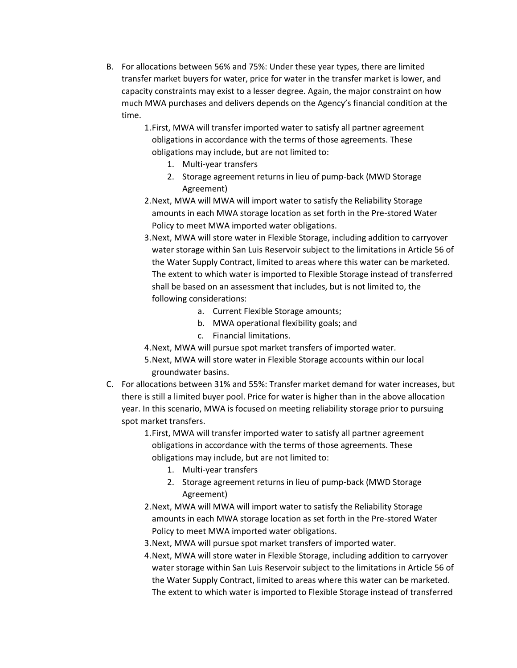- B. For allocations between 56% and 75%: Under these year types, there are limited transfer market buyers for water, price for water in the transfer market is lower, and capacity constraints may exist to a lesser degree. Again, the major constraint on how much MWA purchases and delivers depends on the Agency's financial condition at the time.
	- 1.First, MWA will transfer imported water to satisfy all partner agreement obligations in accordance with the terms of those agreements. These obligations may include, but are not limited to:
		- 1. Multi-year transfers
		- 2. Storage agreement returns in lieu of pump-back (MWD Storage Agreement)
	- 2.Next, MWA will MWA will import water to satisfy the Reliability Storage amounts in each MWA storage location as set forth in the Pre-stored Water Policy to meet MWA imported water obligations.
	- 3.Next, MWA will store water in Flexible Storage, including addition to carryover water storage within San Luis Reservoir subject to the limitations in Article 56 of the Water Supply Contract, limited to areas where this water can be marketed. The extent to which water is imported to Flexible Storage instead of transferred shall be based on an assessment that includes, but is not limited to, the following considerations:
		- a. Current Flexible Storage amounts;
		- b. MWA operational flexibility goals; and
		- c. Financial limitations.
	- 4.Next, MWA will pursue spot market transfers of imported water.
	- 5.Next, MWA will store water in Flexible Storage accounts within our local groundwater basins.
- C. For allocations between 31% and 55%: Transfer market demand for water increases, but there is still a limited buyer pool. Price for water is higher than in the above allocation year. In this scenario, MWA is focused on meeting reliability storage prior to pursuing spot market transfers.
	- 1.First, MWA will transfer imported water to satisfy all partner agreement obligations in accordance with the terms of those agreements. These obligations may include, but are not limited to:
		- 1. Multi-year transfers
		- 2. Storage agreement returns in lieu of pump-back (MWD Storage Agreement)
	- 2.Next, MWA will MWA will import water to satisfy the Reliability Storage amounts in each MWA storage location as set forth in the Pre-stored Water Policy to meet MWA imported water obligations.
	- 3.Next, MWA will pursue spot market transfers of imported water.
	- 4.Next, MWA will store water in Flexible Storage, including addition to carryover water storage within San Luis Reservoir subject to the limitations in Article 56 of the Water Supply Contract, limited to areas where this water can be marketed. The extent to which water is imported to Flexible Storage instead of transferred